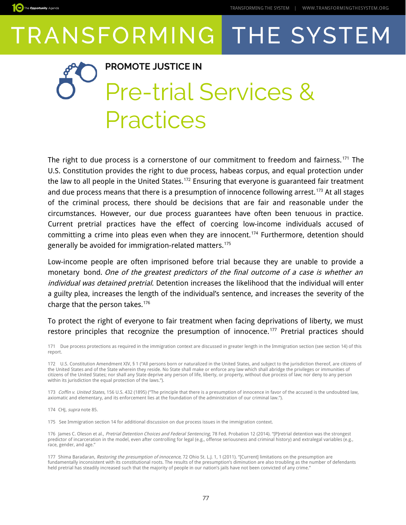

#### **PROMOTE JUSTICE IN**

### Pre-trial Services & Practices

The right to due process is a cornerstone of our commitment to freedom and fairness.<sup>[171](#page-0-0)</sup> The U.S. Constitution provides the right to due process, habeas corpus, and equal protection under the law to all people in the United States.<sup>[172](#page-0-1)</sup> Ensuring that everyone is guaranteed fair treatment and due process means that there is a presumption of innocence following arrest.<sup>[173](#page-0-2)</sup> At all stages of the criminal process, there should be decisions that are fair and reasonable under the circumstances. However, our due process guarantees have often been tenuous in practice. Current pretrial practices have the effect of coercing low-income individuals accused of committing a crime into pleas even when they are innocent.<sup>[174](#page-0-3)</sup> Furthermore, detention should generally be avoided for immigration-related matters.[175](#page-0-4)

Low-income people are often imprisoned before trial because they are unable to provide a monetary bond. One of the greatest predictors of the final outcome of a case is whether an individual was detained pretrial. Detention increases the likelihood that the individual will enter a guilty plea, increases the length of the individual's sentence, and increases the severity of the charge that the person takes.[176](#page-0-5)

To protect the right of everyone to fair treatment when facing deprivations of liberty, we must restore principles that recognize the presumption of innocence.<sup>[177](#page-0-6)</sup> Pretrial practices should

<span id="page-0-0"></span>171 Due process protections as required in the immigration context are discussed in greater length in the Immigration section (see section 14) of this report.

<span id="page-0-1"></span>172 U.S. Constitution Amendment XIV, § 1 ("All persons born or naturalized in the United States, and subject to the jurisdiction thereof, are citizens of the United States and of the State wherein they reside. No State shall make or enforce any law which shall abridge the privileges or immunities of citizens of the United States; nor shall any State deprive any person of life, liberty, or property, without due process of law; nor deny to any person within its jurisdiction the equal protection of the laws.").

<span id="page-0-2"></span>173 Coffin v. United States, 156 U.S. 432 (1895) ("The principle that there is a presumption of innocence in favor of the accused is the undoubted law, axiomatic and elementary, and its enforcement lies at the foundation of the administration of our criminal law.").

<span id="page-0-3"></span>174 CHI, supra note 85.

<span id="page-0-4"></span>175 See Immigration section 14 for additional discussion on due process issues in the immigration context.

<span id="page-0-5"></span>176 James C. Oleson et al., Pretrial Detention Choices and Federal Sentencing, 78 Fed. Probation 12 (2014). "[P]retrial detention was the strongest predictor of incarceration in the model, even after controlling for legal (e.g., offense seriousness and criminal history) and extralegal variables (e.g., race, gender, and age."

<span id="page-0-6"></span>177 Shima Baradaran, *Restoring the presumption of innocence*, 72 Ohio St. L.J. 1, 1 (2011). "[Current] limitations on the presumption are<br>fundamentally inconsistent with its constitutional roots. The results of the presum held pretrial has steadily increased such that the majority of people in our nation's jails have not been convicted of any crime."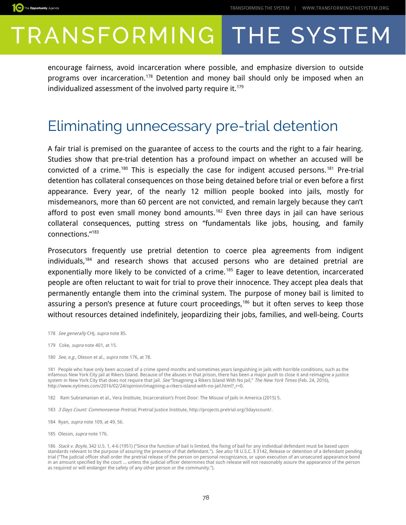encourage fairness, avoid incarceration where possible, and emphasize diversion to outside programs over incarceration.[178](#page-1-0) Detention and money bail should only be imposed when an individualized assessment of the involved party require it.<sup>[179](#page-1-1)</sup>

### Eliminating unnecessary pre-trial detention

A fair trial is premised on the guarantee of access to the courts and the right to a fair hearing. Studies show that pre-trial detention has a profound impact on whether an accused will be convicted of a crime.<sup>[180](#page-1-2)</sup> This is especially the case for indigent accused persons.<sup>[181](#page-1-3)</sup> Pre-trial detention has collateral consequences on those being detained before trial or even before a first appearance. Every year, of the nearly 12 million people booked into jails, mostly for misdemeanors, more than 60 percent are not convicted, and remain largely because they can't afford to post even small money bond amounts.<sup>[182](#page-1-4)</sup> Even three days in jail can have serious collateral consequences, putting stress on "fundamentals like jobs, housing, and family connections."[183](#page-1-5)

Prosecutors frequently use pretrial detention to coerce plea agreements from indigent individuals,[184](#page-1-6) and research shows that accused persons who are detained pretrial are exponentially more likely to be convicted of a crime.<sup>[185](#page-1-7)</sup> Eager to leave detention, incarcerated people are often reluctant to wait for trial to prove their innocence. They accept plea deals that permanently entangle them into the criminal system. The purpose of money bail is limited to assuring a person's presence at future court proceedings,<sup>[186](#page-1-8)</sup> but it often serves to keep those without resources detained indefinitely, jeopardizing their jobs, families, and well-being. Courts

- <span id="page-1-0"></span>178 See generally CHJ, supra note 85.
- <span id="page-1-1"></span>179 Coke, *supra* note 401, at 15.
- <span id="page-1-2"></span>180 See, e.g., Oleson et al., supra note 176, at 78.

<span id="page-1-3"></span>181 People who have only been accused of a crime spend months and sometimes years languishing in jails with horrible conditions, such as the infamous New York City jail at Rikers Island. Because of the abuses in that prison, there has been a major push to close it and reimagine a justice system in New York City that does not require that jail. *See* "Imagining a Rikers Island With No Jail," The New York Times (Feb. 24, 2016), http://www.nytimes.com/2016/02/24/opinion/imagining-a-rikers-island-with-no-jail.html?\_r=0.

- <span id="page-1-4"></span>182 Ram Subramanian et al., Vera Institute, Incarceration's Front Door: The Misuse of Jails in America (2015) 5.
- <span id="page-1-5"></span>183 3 Days Count: Commonsense Pretrial, Pretrial Justice Institute, http://projects.pretrial.org/3dayscount/.
- <span id="page-1-6"></span>184 Ryan, supra note 109, at 49, 56.
- <span id="page-1-7"></span>185 Oleson, *supra* note 176.

<span id="page-1-8"></span><sup>186</sup> Stack v. Boyle, 342 U.S. 1, 4-6 (1951) ("Since the function of bail is limited, the fixing of bail for any individual defendant must be based upon standards relevant to the purpose of assuring the presence of that defendant."). See also 18 U.S.C. § 3142, Release or detention of a defendant pending trial ("The judicial officer shall order the pretrial release of the person on personal recognizance, or upon execution of an unsecured appearance bond in an amount specified by the court ... unless the judicial officer determines that such release will not reasonably assure the appearance of the person as required or will endanger the safety of any other person or the community.").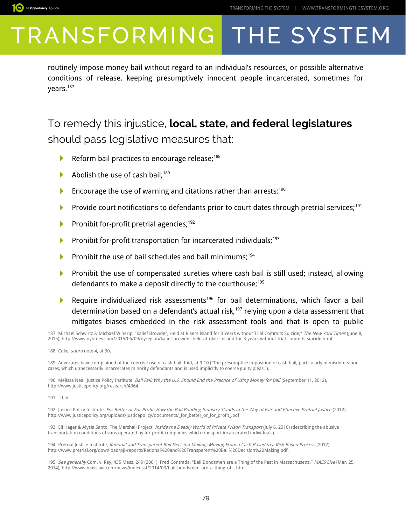

routinely impose money bail without regard to an individual's resources, or possible alternative conditions of release, keeping presumptively innocent people incarcerated, sometimes for years.[187](#page-2-0)

### To remedy this injustice, **local, state, and federal legislatures**  should pass legislative measures that:

- Reform bail practices to encourage release;<sup>[188](#page-2-1)</sup> N
- И Abolish the use of cash bail; $189$
- Encourage the use of warning and citations rather than arrests; $190$ Þ
- Provide court notifications to defendants prior to court dates through pretrial services;<sup>[191](#page-2-4)</sup> ь
- Prohibit for-profit pretrial agencies; $192$ Þ
- Prohibit for-profit transportation for incarcerated individuals;<sup>[193](#page-2-6)</sup> Þ
- Prohibit the use of bail schedules and bail minimums;<sup>[194](#page-2-7)</sup> Þ
- Prohibit the use of compensated sureties where cash bail is still used; instead, allowing defendants to make a deposit directly to the courthouse;<sup>[195](#page-2-8)</sup>
- Require individualized risk assessments<sup>[196](#page-3-0)</sup> for bail determinations, which favor a bail ▶ determination based on a defendant's actual risk,<sup>[197](#page-3-1)</sup> relying upon a data assessment that mitigates biases embedded in the risk assessment tools and that is open to public

<span id="page-2-0"></span>187 Michael Schwirtz & Michael Winerip, "Kalief Browder, Held at Rikers Island for 3 Years without Trial Commits Suicide," The New York Times (June 8, 2015), http://www.nytimes.com/2015/06/09/nyregion/kalief-browder-held-at-rikers-island-for-3-years-without-trial-commits-suicide.html.

<span id="page-2-1"></span>188 Coke, *supra* note 4, at 30.

<span id="page-2-2"></span>189 Advocates have complained of the coercive use of cash bail. Ibid, at 9-10 ("The presumptive imposition of cash bail, particularly in misdemeanor cases, which unnecessarily incarcerates minority defendants and is used implicitly to coerce guilty pleas.").

<span id="page-2-3"></span>190 Melissa Neal, Justice Policy Institute, Bail Fail: Why the U.S. Should End the Practice of Using Money for Bail (September 11, 2012), http://www.justicepolicy.org/research/4364.

<span id="page-2-4"></span>191 Ibid.

<span id="page-2-5"></span>192 Justice Policy Institute, For Better or For Profit: How the Bail Bonding Industry Stands in the Way of Fair and Effective Pretrial Justice (2012), http://www.justicepolicy.org/uploads/justicepolicy/documents/\_for\_better\_or\_for\_profit\_.pdf

<span id="page-2-6"></span>193 Eli Hager & Alysia Santo, The Marshall Project, Inside the Deadly World of Private Prison Transport (July 6, 2016) (describing the abusive transportation conditions of vans operated by for-profit companies which transport incarcerated individuals).

<span id="page-2-7"></span>194 Pretrial Justice Institute, Rational and Transparent Bail Decision Making: Moving From a Cash-Based to a Risk-Based Process (2012), http://www.pretrial.org/download/pji-reports/Rational%20and%20Transparent%20Bail%20Decision%20Making.pdf.

<span id="page-2-8"></span>195 See generally Com. v. Ray, 435 Mass. 249 (2001); Fred Contrada, "Bail Bondsmen are a Thing of the Past in Massachusetts," MASS Live (Mar. 25, 2014), http://www.masslive.com/news/index.ssf/2014/03/bail\_bondsmen\_are\_a\_thing\_of\_t.html.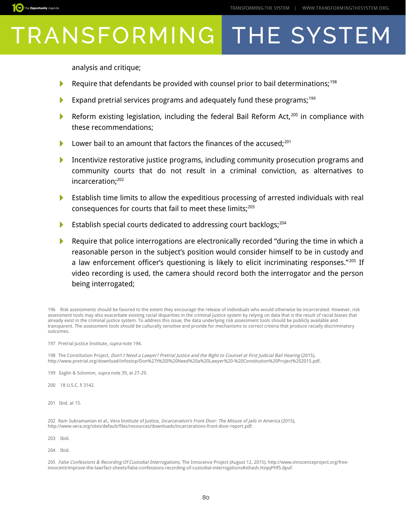analysis and critique;

The Opportunity Agenda

- Require that defendants be provided with counsel prior to bail determinations;<sup>[198](#page-3-2)</sup> ▶
- Expand pretrial services programs and adequately fund these programs;<sup>[199](#page-3-3)</sup>
- Þ Reform existing legislation, including the federal Bail Reform Act,<sup>[200](#page-3-4)</sup> in compliance with these recommendations;
- Lower bail to an amount that factors the finances of the accused;<sup>[201](#page-3-5)</sup>
- $\blacktriangleright$ Incentivize restorative justice programs, including community prosecution programs and community courts that do not result in a criminal conviction, as alternatives to incarceration;[202](#page-3-6)
- Establish time limits to allow the expeditious processing of arrested individuals with real consequences for courts that fail to meet these limits;<sup>[203](#page-3-7)</sup>
- Establish special courts dedicated to addressing court backlogs;<sup>[204](#page-3-8)</sup> N
- Require that police interrogations are electronically recorded "during the time in which a reasonable person in the subject's position would consider himself to be in custody and a law enforcement officer's questioning is likely to elicit incriminating responses."<sup>[205](#page-3-9)</sup> If video recording is used, the camera should record both the interrogator and the person being interrogated;

<span id="page-3-0"></span>196 Risk assessments should be favored to the extent they encourage the release of individuals who would otherwise be incarcerated. However, risk assessment tools may also exacerbate existing racial disparities in the criminal justice system by relying on data that is the result of racial biases that already exist in the criminal justice system. To address this issue, the data underlying risk assessment tools should be publicly available and transparent. The assessment tools should be culturally sensitive and provide for mechanisms to correct criteria that produce racially discriminatory outcomes.

<span id="page-3-1"></span>197 Pretrial Justice Institute, supra note 194.

<span id="page-3-2"></span>198 The Constitution Project, Don't I Need a Lawyer? Pretrial Justice and the Right to Counsel at First Judicial Bail Hearing (2015), http://www.pretrial.org/download/infostop/Don%27t%20I%20Need%20a%20Lawyer%20-%20Constitution%20Project%202015.pdf.

<span id="page-3-3"></span>199 Eaglin & Solomon, *supra* note 39, at 27-29.

<span id="page-3-4"></span>200 18 U.S.C. § 3142.

<span id="page-3-5"></span>201 Ibid. at 15.

<span id="page-3-6"></span>202 Ram Subramanian et al., Vera Institute of Justice, Incarceration's Front Door: The Misuse of Jails in America (2015), http://www.vera.org/sites/default/files/resources/downloads/incarcerations-front-door-report.pdf.

<span id="page-3-7"></span>203 Ibid.

<span id="page-3-8"></span>204 Ibid.

<span id="page-3-9"></span>205 *False Confessions & Recording Of Custodial Interrogations,* The Innocence Project (August 12, 2015), http://www.innocenceproject.org/freeinnocent/improve-the-law/fact-sheets/false-confessions-recording-of-custodial-interrogations#sthash.HzqqPHf5.dpuf.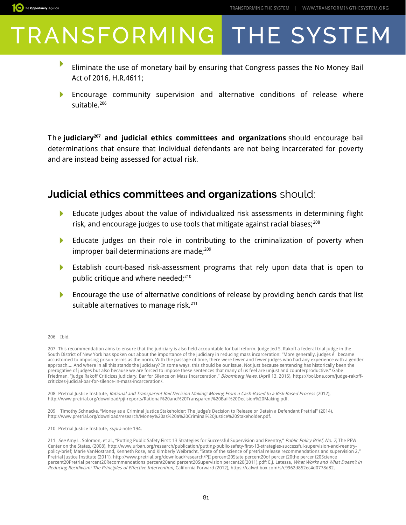

- ▶ Eliminate the use of monetary bail by ensuring that Congress passes the No Money Bail Act of 2016, H.R.4611;
- Encourage community supervision and alternative conditions of release where suitable.<sup>[206](#page-4-0)</sup>

The **judiciary[207](#page-4-1) and judicial ethics committees and organizations** should encourage bail determinations that ensure that individual defendants are not being incarcerated for poverty and are instead being assessed for actual risk.

#### **Judicial ethics committees and organizations** should:

- Educate judges about the value of individualized risk assessments in determining flight Þ risk, and encourage judges to use tools that mitigate against racial biases; $^{208}$  $^{208}$  $^{208}$
- Educate judges on their role in contributing to the criminalization of poverty when N improper bail determinations are made; $^{209}$  $^{209}$  $^{209}$
- Establish court-based risk-assessment programs that rely upon data that is open to public critique and where needed;<sup>[210](#page-4-4)</sup>
- N Encourage the use of alternative conditions of release by providing bench cards that list suitable alternatives to manage risk.<sup>[211](#page-4-5)</sup>

<span id="page-4-0"></span>206 Ibid.

The Opportunity Agenda

<span id="page-4-1"></span>207 This recommendation aims to ensure that the judiciary is also held accountable for bail reform. Judge Jed S. Rakoff a federal trial judge in the South District of New York has spoken out about the importance of the judiciary in reducing mass incarceration: "More generally, judges é became accustomed to imposing prison terms as the norm. With the passage of time, there were fewer and fewer judges who had any experience with a gentler approach.... And where in all this stands the judiciary? In some ways, this should be our issue. Not just because sentencing has historically been the prerogative of judges but also because we are forced to impose these sentences that many of us feel are unjust and counterproductive." Gabe Friedman, "Judge Rakoff Criticizes Judiciary, Bar for Silence on Mass Incarceration," Bloomberg News, (April 13, 2015), https://bol.bna.com/judge-rakoffcriticizes-judicial-bar-for-silence-in-mass-incarceration/.

<span id="page-4-2"></span>208 Pretrial Justice Institute, Rational and Transparent Bail Decision Making: Moving From a Cash-Based to a Risk-Based Process (2012), http://www.pretrial.org/download/pji-reports/Rational%20and%20Transparent%20Bail%20Decision%20Making.pdf.

<span id="page-4-3"></span>209 Timothy Schnacke, "Money as a Criminal Justice Stakeholder: The Judge's Decision to Release or Detain a Defendant Pretrial" (2014), http://www.pretrial.org/download/research/Money%20as%20a%20Criminal%20Justice%20Stakeholder.pdf.

<span id="page-4-4"></span>210 Pretrial Justice Institute, supra note 194.

<span id="page-4-5"></span>211 See Amy L. Solomon, et al., "Putting Public Safety First: 13 Strategies for Successful Supervision and Reentry," Public Policy Brief, No. 7, The PEW Center on the States, (2008), http://www.urban.org/research/publication/putting-public-safety-first-13-strategies-successful-supervision-and-reentrypolicy-brief; Marie VanNostrand, Kenneth Rose, and Kimberly Weibracht, "State of the science of pretrial release recommendations and supervision 2," Pretrial Justice Institute (2011), http://www.pretrial.org/download/research/PJI percent20State percent20of percent20the percent20Science percent20Pretrial percent20Recommendations percent20and percent20Supervision percent20(2011).pdf; E.J. Latessa, *What Works and What Doesn't in* Reducing Recidivism: The Principles of Effective Intervention, California Forward (2012), https://cafwd.box.com/s/c9962d852ec4d0778d82.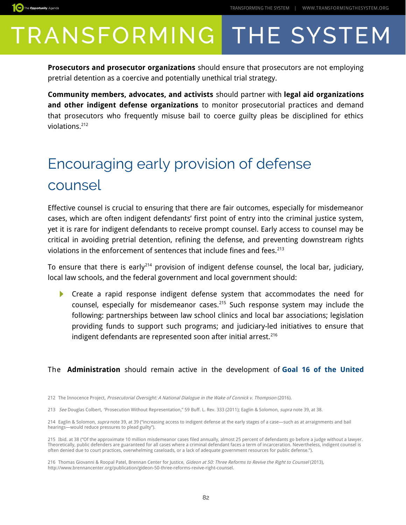

The Opportunity Agenda

**Prosecutors and prosecutor organizations** should ensure that prosecutors are not employing pretrial detention as a coercive and potentially unethical trial strategy.

**Community members, advocates, and activists** should partner with **legal aid organizations and other indigent defense organizations** to monitor prosecutorial practices and demand that prosecutors who frequently misuse bail to coerce guilty pleas be disciplined for ethics violations.[212](#page-5-0)

### Encouraging early provision of defense counsel

Effective counsel is crucial to ensuring that there are fair outcomes, especially for misdemeanor cases, which are often indigent defendants' first point of entry into the criminal justice system, yet it is rare for indigent defendants to receive prompt counsel. Early access to counsel may be critical in avoiding pretrial detention, refining the defense, and preventing downstream rights violations in the enforcement of sentences that include fines and fees.<sup>[213](#page-5-1)</sup>

To ensure that there is early<sup>[214](#page-5-2)</sup> provision of indigent defense counsel, the local bar, judiciary, local law schools, and the federal government and local government should:

**Create a rapid response indigent defense system that accommodates the need for** counsel, especially for misdemeanor cases.<sup>[215](#page-5-3)</sup> Such response system may include the following: partnerships between law school clinics and local bar associations; legislation providing funds to support such programs; and judiciary-led initiatives to ensure that indigent defendants are represented soon after initial arrest.<sup>[216](#page-5-4)</sup>

#### The **Administration** should remain active in the development of **[Goal 16 of the United](https://sustainabledevelopment.un.org/sdg16)**

<span id="page-5-2"></span>214 Eaglin & Solomon, supra note 39, at 39 ("increasing access to indigent defense at the early stages of a case—such as at arraignments and bail hearings—would reduce pressures to plead guilty").

<span id="page-5-0"></span><sup>212</sup> The Innocence Project, Prosecutorial Oversight: A National Dialogue in the Wake of Connick v. Thompson (2016).

<span id="page-5-1"></span><sup>213</sup> See Douglas Colbert, 'Prosecution Without Representation," 59 Buff. L. Rev. 333 (2011); Eaglin & Solomon, supra note 39, at 38.

<span id="page-5-3"></span><sup>215</sup> Ibid. at 38 ("Of the approximate 10 million misdemeanor cases filed annually, almost 25 percent of defendants go before a judge without a lawyer. Theoretically, public defenders are guaranteed for all cases where a criminal defendant faces a term of incarceration. Nevertheless, indigent counsel is often denied due to court practices, overwhelming caseloads, or a lack of adequate government resources for public defense.").

<span id="page-5-4"></span><sup>216</sup> Thomas Giovanni & Roopal Patel, Brennan Center for Justice, Gideon at 50: Three Reforms to Revive the Right to Counsel (2013), http://www.brennancenter.org/publication/gideon-50-three-reforms-revive-right-counsel.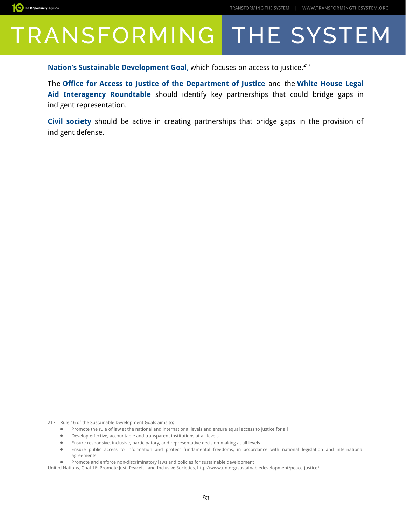

**[Nation's Sustainable Development Goal](https://sustainabledevelopment.un.org/sdg16), which focuses on access to justice.**<sup>[217](#page-6-0)</sup>

The **[Office for Access to Justice of the Department of Justice](https://www.justice.gov/atj)** and the **[White House Legal](https://www.justice.gov/lair) [Aid Interagency Roundtable](https://www.justice.gov/lair)** should identify key partnerships that could bridge gaps in indigent representation.

**Civil society** should be active in creating partnerships that bridge gaps in the provision of indigent defense.

217 Rule 16 of the Sustainable Development Goals aims to:

- <span id="page-6-0"></span>● Promote the rule of law at the national and international levels and ensure equal access to justice for all
- Develop effective, accountable and transparent institutions at all levels
- Ensure responsive, inclusive, participatory, and representative decision-making at all levels
- Ensure public access to information and protect fundamental freedoms, in accordance with national legislation and international agreements
- Promote and enforce non-discriminatory laws and policies for sustainable development

United Nations, Goal 16: Promote Just, Peaceful and Inclusive Societies, http://www.un.org/sustainabledevelopment/peace-justice/.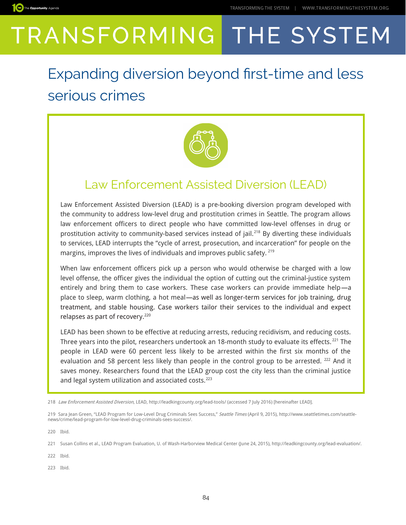### Expanding diversion beyond frst-time and less serious crimes



### Law Enforcement Assisted Diversion (LEAD)

Law Enforcement Assisted Diversion (LEAD) is a pre-booking diversion program developed with the community to address low-level drug and prostitution crimes in Seattle. The program allows law enforcement officers to direct people who have committed low-level offenses in drug or prostitution activity to community-based services instead of jail.<sup>[218](#page-7-0)</sup> By diverting these individuals to services, LEAD interrupts the "cycle of arrest, prosecution, and incarceration" for people on the margins, improves the lives of individuals and improves public safety.<sup>[219](#page-7-1)</sup>

When law enforcement officers pick up a person who would otherwise be charged with a low level offense, the officer gives the individual the option of cutting out the criminal-justice system entirely and bring them to case workers. These case workers can provide immediate help—a place to sleep, warm clothing, a hot meal—as well as longer-term services for job training, drug treatment, and stable housing. Case workers tailor their services to the individual and expect relapses as part of recovery.<sup>[220](#page-7-2)</sup>

LEAD has been shown to be effective at reducing arrests, reducing recidivism, and reducing costs. Three years into the pilot, researchers undertook an 18-month study to evaluate its effects.<sup>[221](#page-7-3)</sup> The people in LEAD were 60 percent less likely to be arrested within the first six months of the evaluation and 58 percent less likely than people in the control group to be arrested. <sup>[222](#page-7-4)</sup> And it saves money. Researchers found that the LEAD group cost the city less than the criminal justice and legal system utilization and associated costs.<sup>[223](#page-7-5)</sup>

<span id="page-7-2"></span>220 Ibid.

The Opportunity Agenda

<span id="page-7-4"></span>222 Ibid.

<span id="page-7-5"></span>223 Ibid.

<span id="page-7-0"></span><sup>218</sup> *Law Enforcement Assisted Diversion*, LEAD, http://leadkingcounty.org/lead-tools/ (accessed 7 July 2016) [hereinafter LEAD].

<span id="page-7-1"></span><sup>219</sup> Sara Jean Green, "LEAD Program for Low-Level Drug Criminals Sees Success," Seattle Times (April 9, 2015), http://www.seattletimes.com/seattlenews/crime/lead-program-for-low-level-drug-criminals-sees-success/.

<span id="page-7-3"></span><sup>221</sup> Susan Collins et al., LEAD Program Evaluation, U. of Wash-Harborview Medical Center (June 24, 2015), http://leadkingcounty.org/lead-evaluation/.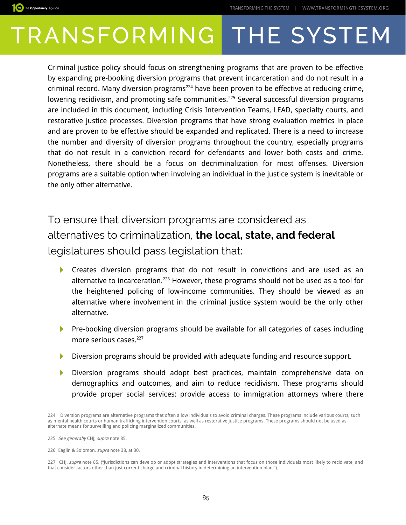

Criminal justice policy should focus on strengthening programs that are proven to be effective by expanding pre-booking diversion programs that prevent incarceration and do not result in a criminal record. Many diversion programs<sup>[224](#page-8-0)</sup> have been proven to be effective at reducing crime, lowering recidivism, and promoting safe communities.<sup>[225](#page-8-1)</sup> Several successful diversion programs are included in this document, including Crisis Intervention Teams, LEAD, specialty courts, and restorative justice processes. Diversion programs that have strong evaluation metrics in place and are proven to be effective should be expanded and replicated. There is a need to increase the number and diversity of diversion programs throughout the country, especially programs that do not result in a conviction record for defendants and lower both costs and crime. Nonetheless, there should be a focus on decriminalization for most offenses. Diversion programs are a suitable option when involving an individual in the justice system is inevitable or the only other alternative.

To ensure that diversion programs are considered as alternatives to criminalization, **the local, state, and federal** legislatures should pass legislation that:

- Creates diversion programs that do not result in convictions and are used as an  $\blacktriangleright$ alternative to incarceration.<sup>[226](#page-8-2)</sup> However, these programs should not be used as a tool for the heightened policing of low-income communities. They should be viewed as an alternative where involvement in the criminal justice system would be the only other alternative.
- $\blacktriangleright$  Pre-booking diversion programs should be available for all categories of cases including more serious cases.<sup>[227](#page-8-3)</sup>
- Diversion programs should be provided with adequate funding and resource support.
- Diversion programs should adopt best practices, maintain comprehensive data on demographics and outcomes, and aim to reduce recidivism. These programs should provide proper social services; provide access to immigration attorneys where there

The Opportunity Agenda

<span id="page-8-0"></span><sup>224</sup> Diversion programs are alternative programs that often allow individuals to avoid criminal charges. These programs include various courts, such as mental health courts or human trafficking intervention courts, as well as restorative justice programs. These programs should not be used as alternate means for surveilling and policing marginalized communities.

<span id="page-8-1"></span><sup>225</sup> See generally CHJ, supra note 85.

<span id="page-8-2"></span><sup>226</sup> Eaglin & Solomon, supra note 38, at 30.

<span id="page-8-3"></span><sup>227</sup> CHJ, supra note 85. ("Jurisdictions can develop or adopt strategies and interventions that focus on those individuals most likely to recidivate, and that consider factors other than just current charge and criminal history in determining an intervention plan.").